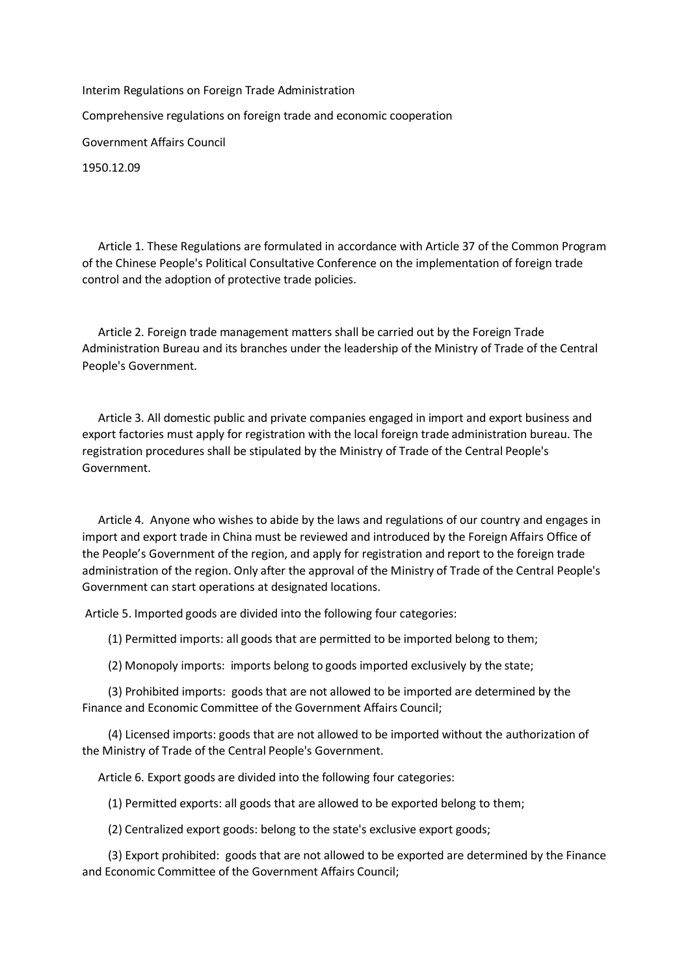Interim Regulations on Foreign Trade Administration Comprehensive regulations on foreign trade and economic cooperation Government Affairs Council 1950.12.09

Article 1. These Regulations are formulated in accordance with Article 37 of the Common Program of the Chinese People's Political Consultative Conference on the implementation of foreign trade control and the adoption of protective trade policies.

Article 2. Foreign trade management matters shall be carried out by the Foreign Trade Administration Bureau and its branches under the leadership of the Ministry of Trade of the Central People's Government.

Article 3. All domestic public and private companies engaged in import and export business and export factories must apply for registration with the local foreign trade administration bureau. The registration procedures shall be stipulated by the Ministry of Trade of the Central People's Government.

Article 4. Anyone who wishes to abide by the laws and regulations of our country and engages in import and export trade in China must be reviewed and introduced by the Foreign Affairs Office of the People's Government of the region, and apply for registration and report to the foreign trade administration of the region. Only after the approval of the Ministry of Trade of the Central People's Government can start operations at designated locations.

Article 5. Imported goods are divided into the following four categories:

(1) Permitted imports: all goods that are permitted to be imported belong to them;

(2) Monopoly imports: imports belong to goods imported exclusively by the state;

 (3) Prohibited imports: goods that are not allowed to be imported are determined by the Finance and Economic Committee of the Government Affairs Council;

 (4) Licensed imports: goods that are not allowed to be imported without the authorization of the Ministry of Trade of the Central People's Government.

Article 6. Export goods are divided into the following four categories:

(1) Permitted exports: all goods that are allowed to be exported belong to them;

(2) Centralized export goods: belong to the state's exclusive export goods;

 (3) Export prohibited: goods that are not allowed to be exported are determined by the Finance and Economic Committee of the Government Affairs Council;